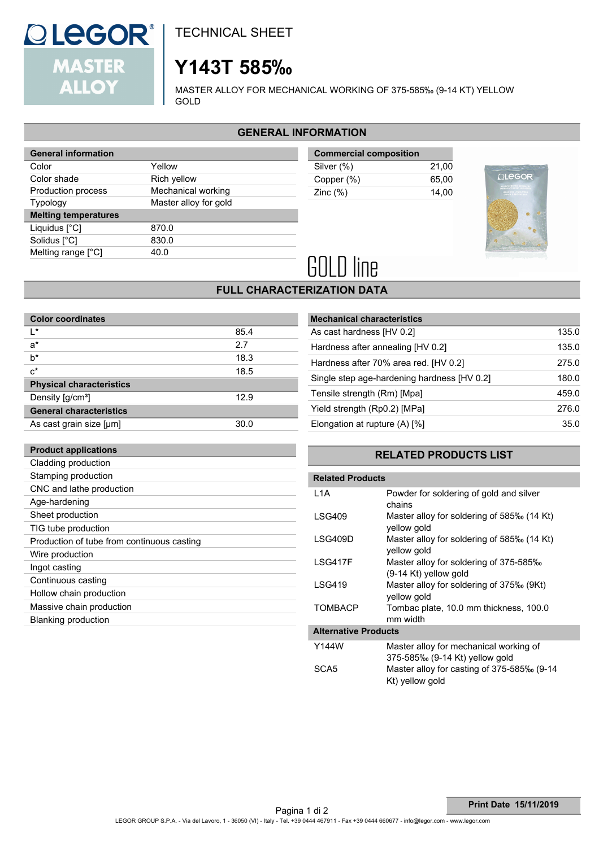

**Product applications**

TECHNICAL SHEET

# **Y143T 585‰**

MASTER ALLOY FOR MECHANICAL WORKING OF 375-585‰ (9-14 KT) YELLOW GOLD

## **GENERAL INFORMATION**

| <b>General information</b>  |                       |  |
|-----------------------------|-----------------------|--|
| Color                       | Yellow                |  |
| Color shade                 | Rich yellow           |  |
| Production process          | Mechanical working    |  |
| <b>Typology</b>             | Master alloy for gold |  |
|                             |                       |  |
| <b>Melting temperatures</b> |                       |  |
| Liquidus $[^{\circ}C]$      | 870.0                 |  |
| Solidus [°C]                | 830.0                 |  |
| Melting range [°C]          | 40.0                  |  |

| <b>Commercial composition</b> |       |
|-------------------------------|-------|
| Silver (%)                    | 21.00 |
| Copper (%)                    | 65.00 |
| Zinc $(\%)$                   | 14.00 |



# **GOLD line**

## **FULL CHARACTERIZATION DATA**

| <b>Color coordinates</b>        |      |
|---------------------------------|------|
| ı∗                              | 85.4 |
| $a^*$                           | 2.7  |
| $b^*$                           | 18.3 |
| $c^*$                           | 18.5 |
| <b>Physical characteristics</b> |      |
| Density [g/cm <sup>3</sup> ]    | 12.9 |
| <b>General characteristics</b>  |      |
| As cast grain size [µm]         | 30.0 |

| <b>Mechanical characteristics</b>           |       |
|---------------------------------------------|-------|
| As cast hardness [HV 0.2]                   | 135.0 |
| Hardness after annealing [HV 0.2]           | 135.0 |
| Hardness after 70% area red. [HV 0.2]       | 275.0 |
| Single step age-hardening hardness [HV 0.2] | 180.0 |
| Tensile strength (Rm) [Mpa]                 | 459.0 |
| Yield strength (Rp0.2) [MPa]                | 276.0 |
| Elongation at rupture (A) [%]               | 35.0  |

## **RELATED PRODUCTS LIST**

| Cladding production                        | RΙ                      |
|--------------------------------------------|-------------------------|
| Stamping production                        | <b>Related Products</b> |
| CNC and lathe production                   | L <sub>1</sub> A        |
| Age-hardening                              |                         |
| Sheet production                           | <b>LSG409</b>           |
| TIG tube production                        |                         |
| Production of tube from continuous casting | LSG409D                 |
| Wire production                            |                         |
| Ingot casting                              | LSG417F                 |
| Continuous casting                         | <b>LSG419</b>           |
| Hollow chain production                    |                         |
| Massive chain production                   | <b>TOMBACP</b>          |
| Blanking production                        |                         |
|                                            | Altornative Dradu       |

| INGIALGU FIUUULIS           |                                                                 |  |  |
|-----------------------------|-----------------------------------------------------------------|--|--|
| L1A                         | Powder for soldering of gold and silver<br>chains               |  |  |
| LSG409                      | Master alloy for soldering of 585‰ (14 Kt)<br>vellow gold       |  |  |
| LSG409D                     | Master alloy for soldering of 585‰ (14 Kt)<br>vellow gold       |  |  |
| <b>ISG417F</b>              | Master alloy for soldering of 375-585‰<br>(9-14 Kt) yellow gold |  |  |
| LSG419                      | Master alloy for soldering of 375‰ (9Kt)<br>vellow gold         |  |  |
| <b>TOMBACP</b>              | Tombac plate, 10.0 mm thickness, 100.0<br>mm width              |  |  |
| <b>Alternative Products</b> |                                                                 |  |  |
| Y144W                       | Master alloy for mechanical working of                          |  |  |
|                             | 375-585‰ (9-14 Kt) yellow gold                                  |  |  |
| SCA5                        | Master alloy for casting of 375-585‰ (9-14                      |  |  |

Kt) yellow gold